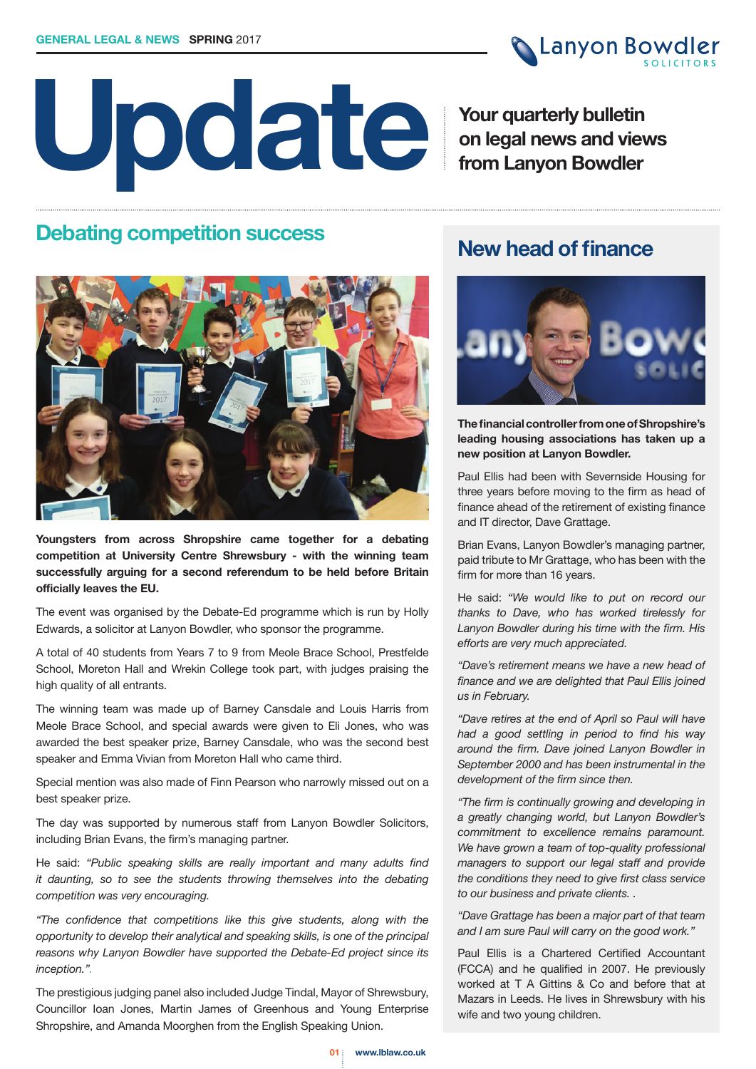

# **Update**

**Your quarterly bulletin on legal news and views from Lanyon Bowdler**

# **Debating competition success Mew head of finance**



**Youngsters from across Shropshire came together for a debating competition at University Centre Shrewsbury - with the winning team successfully arguing for a second referendum to be held before Britain officially leaves the EU.**

The event was organised by the Debate-Ed programme which is run by Holly Edwards, a solicitor at Lanyon Bowdler, who sponsor the programme.

A total of 40 students from Years 7 to 9 from Meole Brace School, Prestfelde School, Moreton Hall and Wrekin College took part, with judges praising the high quality of all entrants.

The winning team was made up of Barney Cansdale and Louis Harris from Meole Brace School, and special awards were given to Eli Jones, who was awarded the best speaker prize, Barney Cansdale, who was the second best speaker and Emma Vivian from Moreton Hall who came third.

Special mention was also made of Finn Pearson who narrowly missed out on a best speaker prize.

The day was supported by numerous staff from Lanyon Bowdler Solicitors, including Brian Evans, the firm's managing partner.

He said: *"Public speaking skills are really important and many adults find it daunting, so to see the students throwing themselves into the debating competition was very encouraging.*

*"The confidence that competitions like this give students, along with the opportunity to develop their analytical and speaking skills, is one of the principal reasons why Lanyon Bowdler have supported the Debate-Ed project since its inception.".*

The prestigious judging panel also included Judge Tindal, Mayor of Shrewsbury, Councillor Ioan Jones, Martin James of Greenhous and Young Enterprise Shropshire, and Amanda Moorghen from the English Speaking Union.



**The financial controller from one of Shropshire's leading housing associations has taken up a new position at Lanyon Bowdler.**

Paul Ellis had been with Severnside Housing for three years before moving to the firm as head of finance ahead of the retirement of existing finance and IT director, Dave Grattage.

Brian Evans, Lanyon Bowdler's managing partner, paid tribute to Mr Grattage, who has been with the firm for more than 16 years.

He said: *"We would like to put on record our thanks to Dave, who has worked tirelessly for Lanyon Bowdler during his time with the firm. His efforts are very much appreciated.*

*"Dave's retirement means we have a new head of finance and we are delighted that Paul Ellis joined us in February.* 

*"Dave retires at the end of April so Paul will have had a good settling in period to find his way around the firm. Dave joined Lanyon Bowdler in September 2000 and has been instrumental in the development of the firm since then.*

*"The firm is continually growing and developing in a greatly changing world, but Lanyon Bowdler's commitment to excellence remains paramount. We have grown a team of top-quality professional managers to support our legal staff and provide the conditions they need to give first class service to our business and private clients. .*

*"Dave Grattage has been a major part of that team and I am sure Paul will carry on the good work."*

Paul Ellis is a Chartered Certified Accountant (FCCA) and he qualified in 2007. He previously worked at T A Gittins & Co and before that at Mazars in Leeds. He lives in Shrewsbury with his wife and two young children.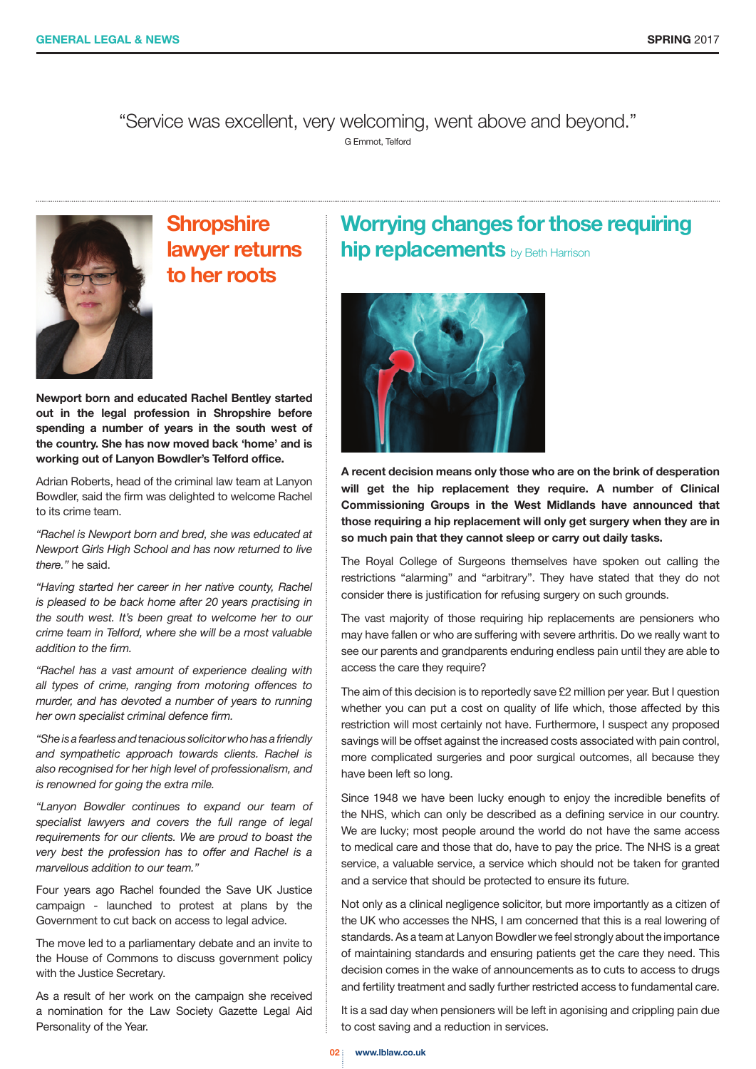"Service was excellent, very welcoming, went above and beyond." G Emmot, Telford



# **Shropshire lawyer returns to her roots**

**Newport born and educated Rachel Bentley started out in the legal profession in Shropshire before spending a number of years in the south west of the country. She has now moved back 'home' and is working out of Lanyon Bowdler's Telford office.**

Adrian Roberts, head of the criminal law team at Lanyon Bowdler, said the firm was delighted to welcome Rachel to its crime team.

*"Rachel is Newport born and bred, she was educated at Newport Girls High School and has now returned to live there."* he said.

*"Having started her career in her native county, Rachel is pleased to be back home after 20 years practising in the south west. It's been great to welcome her to our crime team in Telford, where she will be a most valuable addition to the firm.*

*"Rachel has a vast amount of experience dealing with all types of crime, ranging from motoring offences to murder, and has devoted a number of years to running her own specialist criminal defence firm.*

*"She is a fearless and tenacious solicitor who has a friendly and sympathetic approach towards clients. Rachel is also recognised for her high level of professionalism, and is renowned for going the extra mile.*

*"Lanyon Bowdler continues to expand our team of specialist lawyers and covers the full range of legal requirements for our clients. We are proud to boast the very best the profession has to offer and Rachel is a marvellous addition to our team."*

Four years ago Rachel founded the Save UK Justice campaign - launched to protest at plans by the Government to cut back on access to legal advice.

The move led to a parliamentary debate and an invite to the House of Commons to discuss government policy with the Justice Secretary.

As a result of her work on the campaign she received a nomination for the Law Society Gazette Legal Aid Personality of the Year.

#### **Worrying changes for those requiring hip replacements** by Beth Harrison



**A recent decision means only those who are on the brink of desperation will get the hip replacement they require. A number of Clinical Commissioning Groups in the West Midlands have announced that those requiring a hip replacement will only get surgery when they are in so much pain that they cannot sleep or carry out daily tasks.** 

The Royal College of Surgeons themselves have spoken out calling the restrictions "alarming" and "arbitrary". They have stated that they do not consider there is justification for refusing surgery on such grounds.

The vast majority of those requiring hip replacements are pensioners who may have fallen or who are suffering with severe arthritis. Do we really want to see our parents and grandparents enduring endless pain until they are able to access the care they require?

The aim of this decision is to reportedly save £2 million per year. But I question whether you can put a cost on quality of life which, those affected by this restriction will most certainly not have. Furthermore, I suspect any proposed savings will be offset against the increased costs associated with pain control, more complicated surgeries and poor surgical outcomes, all because they have been left so long.

Since 1948 we have been lucky enough to enjoy the incredible benefits of the NHS, which can only be described as a defining service in our country. We are lucky; most people around the world do not have the same access to medical care and those that do, have to pay the price. The NHS is a great service, a valuable service, a service which should not be taken for granted and a service that should be protected to ensure its future.

Not only as a clinical negligence solicitor, but more importantly as a citizen of the UK who accesses the NHS, I am concerned that this is a real lowering of standards. As a team at Lanyon Bowdler we feel strongly about the importance of maintaining standards and ensuring patients get the care they need. This decision comes in the wake of announcements as to cuts to access to drugs and fertility treatment and sadly further restricted access to fundamental care.

It is a sad day when pensioners will be left in agonising and crippling pain due to cost saving and a reduction in services.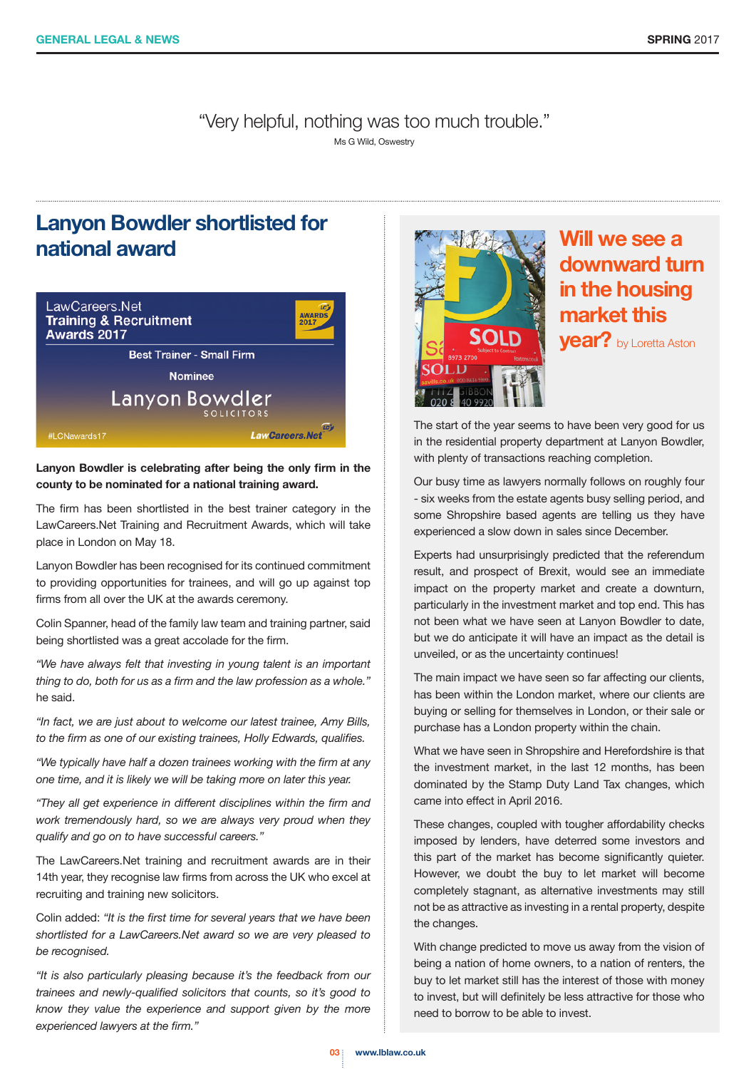"Very helpful, nothing was too much trouble."

Ms G Wild, Oswestry

## **Lanyon Bowdler shortlisted for national award**



**Lanyon Bowdler is celebrating after being the only firm in the county to be nominated for a national training award.**

The firm has been shortlisted in the best trainer category in the LawCareers.Net Training and Recruitment Awards, which will take place in London on May 18.

Lanyon Bowdler has been recognised for its continued commitment to providing opportunities for trainees, and will go up against top firms from all over the UK at the awards ceremony.

Colin Spanner, head of the family law team and training partner, said being shortlisted was a great accolade for the firm.

*"We have always felt that investing in young talent is an important thing to do, both for us as a firm and the law profession as a whole."* he said.

*"In fact, we are just about to welcome our latest trainee, Amy Bills, to the firm as one of our existing trainees, Holly Edwards, qualifies.*

*"We typically have half a dozen trainees working with the firm at any one time, and it is likely we will be taking more on later this year.*

*"They all get experience in different disciplines within the firm and work tremendously hard, so we are always very proud when they qualify and go on to have successful careers."*

The LawCareers.Net training and recruitment awards are in their 14th year, they recognise law firms from across the UK who excel at recruiting and training new solicitors.

Colin added: *"It is the first time for several years that we have been shortlisted for a LawCareers.Net award so we are very pleased to be recognised.*

*"It is also particularly pleasing because it's the feedback from our trainees and newly-qualified solicitors that counts, so it's good to know they value the experience and support given by the more experienced lawyers at the firm."*



# **Will we see a downward turn in the housing market this**

**year?** by Loretta Aston

The start of the year seems to have been very good for us in the residential property department at Lanyon Bowdler, with plenty of transactions reaching completion.

Our busy time as lawyers normally follows on roughly four - six weeks from the estate agents busy selling period, and some Shropshire based agents are telling us they have experienced a slow down in sales since December.

Experts had unsurprisingly predicted that the referendum result, and prospect of Brexit, would see an immediate impact on the property market and create a downturn, particularly in the investment market and top end. This has not been what we have seen at Lanyon Bowdler to date, but we do anticipate it will have an impact as the detail is unveiled, or as the uncertainty continues!

The main impact we have seen so far affecting our clients, has been within the London market, where our clients are buying or selling for themselves in London, or their sale or purchase has a London property within the chain.

What we have seen in Shropshire and Herefordshire is that the investment market, in the last 12 months, has been dominated by the Stamp Duty Land Tax changes, which came into effect in April 2016.

These changes, coupled with tougher affordability checks imposed by lenders, have deterred some investors and this part of the market has become significantly quieter. However, we doubt the buy to let market will become completely stagnant, as alternative investments may still not be as attractive as investing in a rental property, despite the changes.

With change predicted to move us away from the vision of being a nation of home owners, to a nation of renters, the buy to let market still has the interest of those with money to invest, but will definitely be less attractive for those who need to borrow to be able to invest.